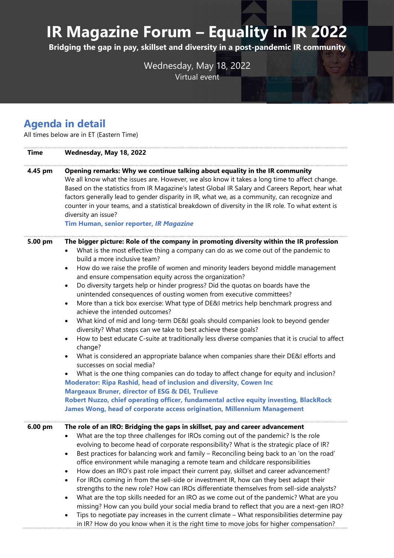## **IR Magazine Forum – Equality in IR 2022**

**Bridging the gap in pay, skillset and diversity in a post-pandemic IR community**

Wednesday, May 18, 2022 Virtual event

## **Agenda in detail**

All times below are in ET (Eastern Time)

| <b>Time</b> | Wednesday, May 18, 2022                                                                                                                                                                                                                                                                                                                                                                                                                                                                                                                                                                                                                                                                                                                                                                                                                                                                                                                                                                                                                                                                                                                                                                                                                                                                                                                                                                                                                                                                                                        |
|-------------|--------------------------------------------------------------------------------------------------------------------------------------------------------------------------------------------------------------------------------------------------------------------------------------------------------------------------------------------------------------------------------------------------------------------------------------------------------------------------------------------------------------------------------------------------------------------------------------------------------------------------------------------------------------------------------------------------------------------------------------------------------------------------------------------------------------------------------------------------------------------------------------------------------------------------------------------------------------------------------------------------------------------------------------------------------------------------------------------------------------------------------------------------------------------------------------------------------------------------------------------------------------------------------------------------------------------------------------------------------------------------------------------------------------------------------------------------------------------------------------------------------------------------------|
| 4.45 pm     | Opening remarks: Why we continue talking about equality in the IR community<br>We all know what the issues are. However, we also know it takes a long time to affect change.<br>Based on the statistics from IR Magazine's latest Global IR Salary and Careers Report, hear what<br>factors generally lead to gender disparity in IR, what we, as a community, can recognize and<br>counter in your teams, and a statistical breakdown of diversity in the IR role. To what extent is<br>diversity an issue?<br>Tim Human, senior reporter, IR Magazine                                                                                                                                                                                                                                                                                                                                                                                                                                                                                                                                                                                                                                                                                                                                                                                                                                                                                                                                                                        |
| 5.00 pm     | The bigger picture: Role of the company in promoting diversity within the IR profession<br>What is the most effective thing a company can do as we come out of the pandemic to<br>build a more inclusive team?<br>How do we raise the profile of women and minority leaders beyond middle management<br>$\bullet$<br>and ensure compensation equity across the organization?<br>Do diversity targets help or hinder progress? Did the quotas on boards have the<br>$\bullet$<br>unintended consequences of ousting women from executive committees?<br>More than a tick box exercise: What type of DE&I metrics help benchmark progress and<br>$\bullet$<br>achieve the intended outcomes?<br>What kind of mid and long-term DE&I goals should companies look to beyond gender<br>$\bullet$<br>diversity? What steps can we take to best achieve these goals?<br>How to best educate C-suite at traditionally less diverse companies that it is crucial to affect<br>٠<br>change?<br>What is considered an appropriate balance when companies share their DE&I efforts and<br>٠<br>successes on social media?<br>What is the one thing companies can do today to affect change for equity and inclusion?<br>$\bullet$<br>Moderator: Ripa Rashid, head of inclusion and diversity, Cowen Inc<br><b>Margeaux Bruner, director of ESG &amp; DEI, Trulieve</b><br>Robert Nuzzo, chief operating officer, fundamental active equity investing, BlackRock<br>James Wong, head of corporate access origination, Millennium Management |
| 6.00 pm     | The role of an IRO: Bridging the gaps in skillset, pay and career advancement<br>What are the top three challenges for IROs coming out of the pandemic? Is the role<br>evolving to become head of corporate responsibility? What is the strategic place of IR?<br>Best practices for balancing work and family - Reconciling being back to an 'on the road'<br>office environment while managing a remote team and childcare responsibilities<br>How does an IRO's past role impact their current pay, skillset and career advancement?<br>For IROs coming in from the sell-side or investment IR, how can they best adapt their<br>٠<br>strengths to the new role? How can IROs differentiate themselves from sell-side analysts?<br>What are the top skills needed for an IRO as we come out of the pandemic? What are you<br>missing? How can you build your social media brand to reflect that you are a next-gen IRO?<br>Tips to negotiate pay increases in the current climate - What responsibilities determine pay<br>in IR? How do you know when it is the right time to move jobs for higher compensation?                                                                                                                                                                                                                                                                                                                                                                                                           |